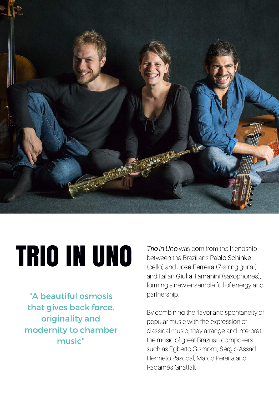

# TRIO IN UNO

"A beautiful osmosis that gives back force, originality and modernity to chamber music"

Trio in Uno was born from the friendship between the Brazilians Pablo Schinke (cello) and José Ferreira (7-string guitar) and Italian Giulia Tamanini (saxophones), forming a new ensemble full of energy and partnership.

By combining the flavor and spontaneity of popular music with the expression of classical music, they arrange and interpret the music of great Brazilian composers such as Egberto Gismonti, Sergio Assad, Hermeto Pascoal, Marco Pereira and Radamés Gnattali.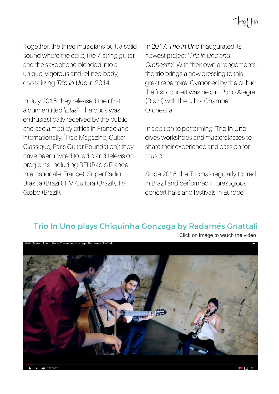Together, the three musicians built a solid sound where the cello, the 7-string guitar and the saxophone blended into a unique, vigorous and refined body, crystallizing Trio In Uno in 2014.

In July 2015, they released their first album entitled "Lilas". The opus was enthusiastically received by the public and acclaimed by critics in France and internationally (Trad Magazine, Guitar Classique, Paris Guitar Foundation); they have been invited to radio and television programs, including RFI (Radio France Internationale, France), Super Radio Brasilia (Brazil), FM Cultura (Brazil), TV Globo (Brazil).

In 2017, Trio in Uno inaugurated its newest project "Trio in Uno and Orchestra". With their own arrangements, the trio brings a new dressing to this great repertoire. Ovationed by the public, the first concert was held in Porto Alegre (Brazil) with the Ulbra Chamber Orchestra.

In addition to performing, Trio in Uno gives workshops and masterclasses to share their experience and passion for music.

Since 2015, the Trio has regularly toured in Brazil and performed in prestigious concert halls and festivals in Europe.

#### Trio In Uno plays [Chiquinha](https://www.youtube.com/watch?v=BRIbu2G3u54) Gonzaga by Radamés Gnattali

Click on image to watch the video

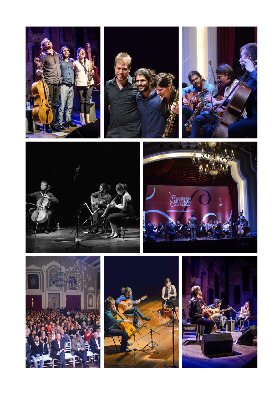











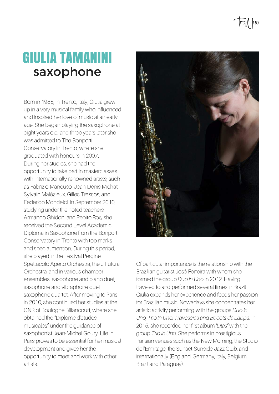# GIULIA TAMANINI saxophone

Born in 1988, in Trento, Italy, Giulia grew up in a very musical family who influenced and inspired her love of music at an early age. She began playing the saxophone at eight years old, and three years later she was admitted to The Bonporti Conservatory in Trento, where she graduated with honours in 2007. During her studies, she had the opportunity to take part in masterclasses with internationally renowned artists, such as Fabrizio Mancuso, Jean-Denis Michat, Sylvain Malézieux, Gilles Tressos, and Federico Mondelci. In September 2010, studying under the noted teachers Armando Ghidoni and Pepito Ros, she received the Second Level Academic Diploma in Saxophone from the Bonporti Conservatory in Trento with top marks and special mention. During this period, she played in the Festival Pergine Spettacolo Aperto Orchestra, the J Futura Orchestra, and in various chamber ensembles: saxophone and piano duet, saxophone and vibraphone duet, saxophone quartet. After moving to Paris in 2010, she continued her studies at the CNR of Boulogne Billancourt, where she obtained the "Diplôme d'études musicales" under the guidance of saxophonist Jean-Michel Goury. Life in Paris proves to be essential for her musical development and gives her the opportunity to meet and work with other artists.



Of particular importance is the relationship with the Brazilian guitarist José Ferreira with whom she formed the group Duo in Uno in 2012. Having traveled to and performed several times in Brazil, Giulia expands her experience and feeds her passion for Brazilian music. Nowadays she concentrates her artistic activity performing with the groups Duo In Uno, Trio In Uno, Travessias and Bécots da Lappa. In 2015, she recorded her first album "Lilas" with the group Trio In Uno. She performs in prestigious Parisian venues such as the New Morning, the Studio de l'Ermitage, the Sunset-Sunside Jazz Club, and internationally (England, Germany, Italy, Belgium, Brazil and Paraguay).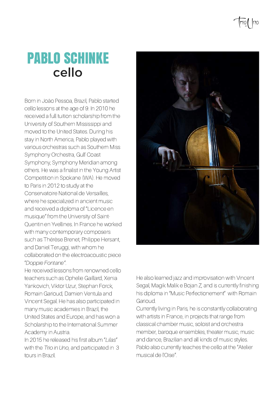## $\bar{\mathrm{rio}}$ ( Ino

# PABLO SCHINKE cello

Born in João Pessoa, Brazil, Pablo started cello lessons at the age of 9. In 2010 he received a full tuition scholarship from the University of Southern Mississippi and moved to the United States. During his stay in North America, Pablo played with various orchestras such as Southern Miss Symphony Orchestra, Gulf Coast Symphony, Symphony Meridian among others. He was a finalist in the Young Artist Competition in Spokane (WA). He moved to Paris in 2012 to study at the Conservatoire National de Versailles, where he specialized in ancient music and received a diploma of "Licence en musique" from the University of Saint-Quentin en Yvellines. In France he worked with many contemporary composers such as Thérèse Brenet, Philippe Hersant, and Daniel Teruggi, with whom he collaborated on the electroacoustic piece "Doppie Fontane".

He received lessons from renowned cello teachers such as Ophelie Gaillard, Xenia Yankovich, Viktor Uzur, Stephan Forck, Romain Garioud, Damien Ventula and Vincent Segal. He has also participated in many music academies in Brazil, the United States and Europe, and has won a Scholarship to the International Summer Academy in Austria.

In 2015 he released his first album "Lilas" with the Trio in Uno, and participated in 3 tours in Brazil.



He also learned jazz and improvisation with Vincent Segal, Magik Malik e Bojan Z, and is currently finishing his diploma in "Music Perfectionement" with Romain **Garioud.** 

Currently living in Paris, he is constantly collaborating with artists in France, in projects that range from classical chamber music, soloist and orchestra member, baroque ensembles, theater music, music and dance, Brazilian and all kinds of music styles. Pablo also currently teaches the cello at the "Atelier musical de l'Oise".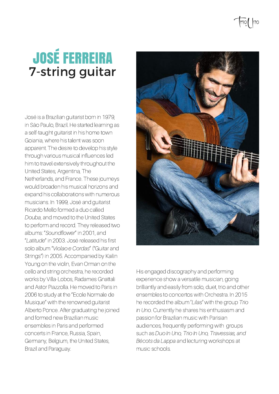## $ceil$  |no

# JOSÉ FERREIRA 7-string guitar

José is a Brazilian guitarist born in 1979, in São Paulo, Brazil. He started learning as a self-taught guitarist in his home town Goiania, where his talent was soon apparent. The desire to develop his style through various musical influences led him to travel extensively throughout the United States, Argentina, The Netherlands, and France. These journeys would broaden his musical horizons and expand his collaborations with numerous musicians. In 1999, José and guitarist Ricardo Mello formed a duo called Douba, and moved to the United States to perform and record. They released two albums: "Soundflower" in 2001, and "Latitude" in 2003. José released his first solo album "Violao e Cordas" ("Guitar and Strings") in 2005. Accompanied by Kailin Young on the violin, Evan Orman on the cello and string orchestra, he recorded works by Villa-Lobos, Radames Gnattali and Astor Piazzolla. He moved to Paris in 2006 to study at the "Ecole Normale de Musique" with the renowned guitarist Alberto Ponce. After graduating he joined and formed new Brazilian music ensembles in Paris and performed concerts in France, Russia, Spain, Germany, Belgium, the United States, Brazil and Paraguay.



His engaged discography and performing experience show a versatile musician, going brilliantly and easily from solo, duet, trio and other ensembles to concertos with Orchestra. In 2015 he recorded the album "Lilas" with the group Trio in Uno. Currently he shares his enthusiasm and passion for Brazilian music with Parisian audiences, frequently performing with groups such as Duo In Uno, Trio In Uno, Travessias, and Bécots da Lappa and lecturing workshops at music schools.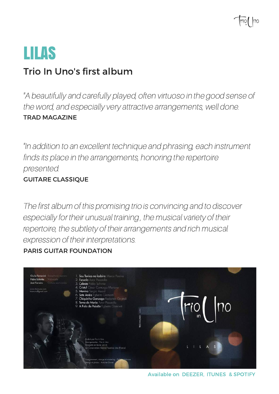



#### Trio In Uno's first album

"A beautifully and carefully played, often virtuoso in the good sense of the word, and especially very attractive arrangements, well done. TRAD MAGAZINE

"In addition to an excellent technique and phrasing, each instrument finds its place in the arrangements, honoring the repertoire presented.

#### GUITARE CLASSIQUE

The first album of this promising trio is convincing and to discover especially for their unusual training , the musical variety of their repertoire, the subtlety of their arrangements and rich musical expression of their interpretations.

#### PARIS GUITAR FOUNDATION



Available on [DEEZER,](http://www.deezer.com/fr/album/10765056) [ITUNES](https://itunes.apple.com/fr/album/lilas/id1015591879) & [SPOTIFY](https://open.spotify.com/artist/7mzsXLE2imTWllCO37uegW)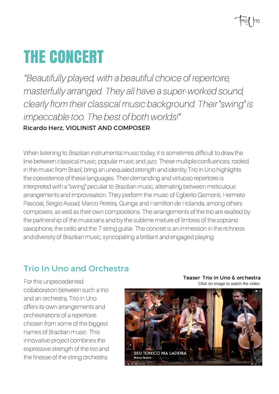# THE CONCERT

"Beautifully played, with a beautiful choice of repertoire, masterfully arranged. They all have a super-worked sound, clearly from their classical music background. Their "swing" is impeccable too. The best of both worlds!" Ricardo Herz, VIOLINIST AND COMPOSER

When listening to Brazilian instrumental music today, it is sometimes difficult to draw the line between classical music, popular music and jazz. These multiple confluences, rooted in the music from Brazil, bring an unequaled strength and identity.Trio in Uno highlights the coexistence of these languages. Their demanding and virtuoso repertoire is interpreted with a "swing" peculiar to Brazilian music, alternating between meticulous arrangements and improvisation. They perform the music of Egberto Gismonti, Hermeto Pascoal, Sergio Assad, Marco Pereira, Guinga and Hamilton de Holanda, among others composers, as well as their own compositions. The arrangements of the trio are exalted by the partnership of the musicians and by the sublime mixture of timbres of the soprano saxophone, the cello and the 7-string guitar. The concert is an immersion in the richness and diversity of Brazilian music, syncopating a brilliant and engaged playing.

#### Trio In Uno and Orchestra

For this unprecedented collaboration between such a trio and an orchestra, Trio In Uno offers its own arrangements and orchestrations of a repertoire chosen from some of the biggest names of Brazilian music. This innovative project combines the expressive strength of the trio and the finesse of the string orchestra.

Teaser Trio In Uno & [orchestra](https://www.youtube.com/watch?v=Vahg6RnkODM) Click on image to watch the video